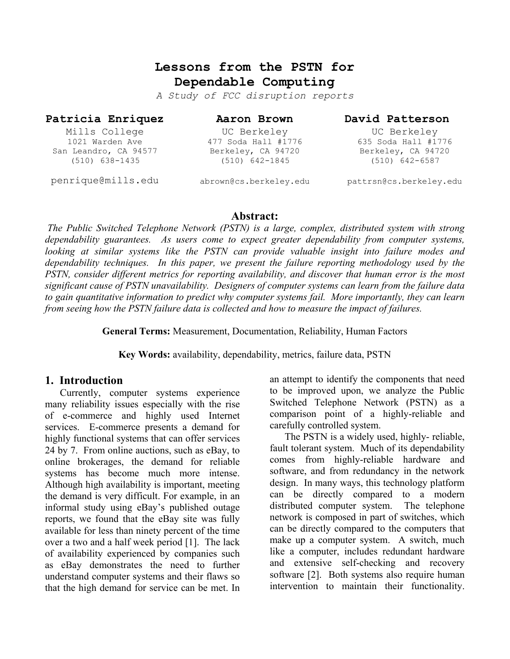# **Lessons from the PSTN for Dependable Computing**

*A Study of FCC disruption reports* 

#### **Patricia Enriquez**

**Aaron Brown** 

#### **David Patterson**

Mills College 1021 Warden Ave San Leandro, CA 94577 (510) 638-1435

UC Berkeley 477 Soda Hall #1776 Berkeley, CA 94720 (510) 642-1845

635 Soda Hall #1776 Berkeley, CA 94720 (510) 642-6587

UC Berkeley

penrique@mills.edu

abrown@cs.berkeley.edu

pattrsn@cs.berkeley.edu

### **Abstract:**

 *The Public Switched Telephone Network (PSTN) is a large, complex, distributed system with strong dependability guarantees. As users come to expect greater dependability from computer systems, looking at similar systems like the PSTN can provide valuable insight into failure modes and dependability techniques. In this paper, we present the failure reporting methodology used by the PSTN, consider different metrics for reporting availability, and discover that human error is the most significant cause of PSTN unavailability. Designers of computer systems can learn from the failure data to gain quantitative information to predict why computer systems fail. More importantly, they can learn from seeing how the PSTN failure data is collected and how to measure the impact of failures.* 

**General Terms:** Measurement, Documentation, Reliability, Human Factors

**Key Words:** availability, dependability, metrics, failure data, PSTN

### **1. Introduction**

Currently, computer systems experience many reliability issues especially with the rise of e-commerce and highly used Internet services. E-commerce presents a demand for highly functional systems that can offer services 24 by 7. From online auctions, such as eBay, to online brokerages, the demand for reliable systems has become much more intense. Although high availability is important, meeting the demand is very difficult. For example, in an informal study using eBay's published outage reports, we found that the eBay site was fully available for less than ninety percent of the time over a two and a half week period [1].The lack of availability experienced by companies such as eBay demonstrates the need to further understand computer systems and their flaws so that the high demand for service can be met. In an attempt to identify the components that need to be improved upon, we analyze the Public Switched Telephone Network (PSTN) as a comparison point of a highly-reliable and carefully controlled system.

The PSTN is a widely used, highly- reliable, fault tolerant system. Much of its dependability comes from highly-reliable hardware and software, and from redundancy in the network design. In many ways, this technology platform can be directly compared to a modern distributed computer system. The telephone network is composed in part of switches, which can be directly compared to the computers that make up a computer system. A switch, much like a computer, includes redundant hardware and extensive self-checking and recovery software [2]. Both systems also require human intervention to maintain their functionality.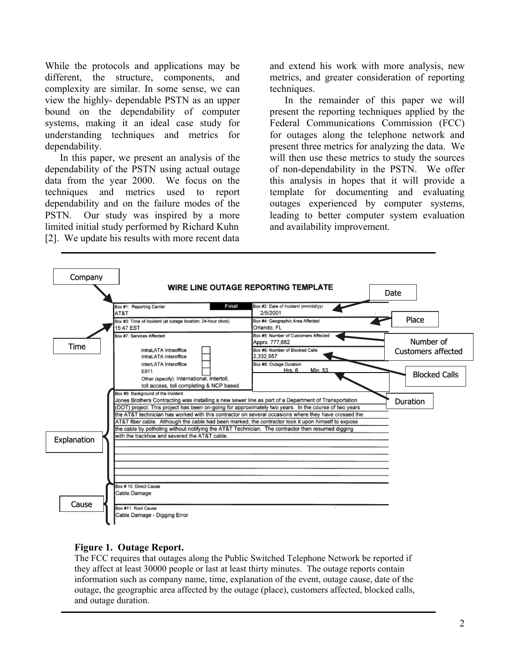While the protocols and applications may be different, the structure, components, and complexity are similar. In some sense, we can view the highly- dependable PSTN as an upper bound on the dependability of computer systems, making it an ideal case study for understanding techniques and metrics for dependability.

In this paper, we present an analysis of the dependability of the PSTN using actual outage data from the year 2000. We focus on the techniques and metrics used to report dependability and on the failure modes of the PSTN. Our study was inspired by a more limited initial study performed by Richard Kuhn [2]. We update his results with more recent data and extend his work with more analysis, new metrics, and greater consideration of reporting techniques.

In the remainder of this paper we will present the reporting techniques applied by the Federal Communications Commission (FCC) for outages along the telephone network and present three metrics for analyzing the data. We will then use these metrics to study the sources of non-dependability in the PSTN. We offer this analysis in hopes that it will provide a template for documenting and evaluating outages experienced by computer systems, leading to better computer system evaluation and availability improvement.



#### **Figure 1. Outage Report.**

The FCC requires that outages along the Public Switched Telephone Network be reported if they affect at least 30000 people or last at least thirty minutes. The outage reports contain information such as company name, time, explanation of the event, outage cause, date of the outage, the geographic area affected by the outage (place), customers affected, blocked calls, and outage duration.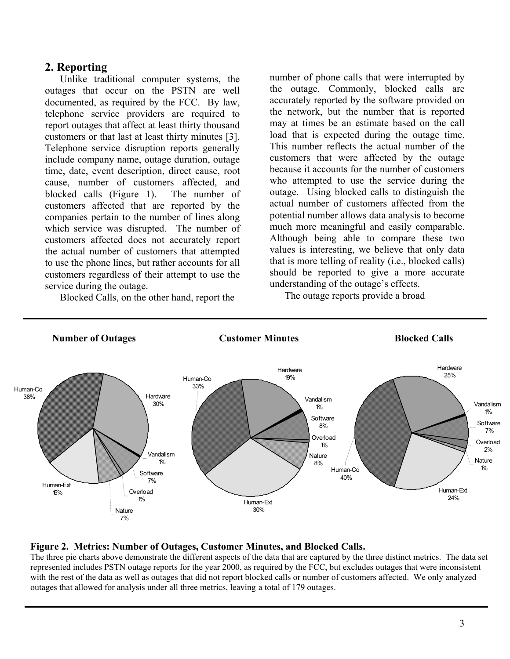## **2. Reporting**

Unlike traditional computer systems, the outages that occur on the PSTN are well documented, as required by the FCC. By law, telephone service providers are required to report outages that affect at least thirty thousand customers or that last at least thirty minutes [3]. Telephone service disruption reports generally include company name, outage duration, outage time, date, event description, direct cause, root cause, number of customers affected, and blocked calls (Figure 1). The number of customers affected that are reported by the companies pertain to the number of lines along which service was disrupted. The number of customers affected does not accurately report the actual number of customers that attempted to use the phone lines, but rather accounts for all customers regardless of their attempt to use the service during the outage.

Blocked Calls, on the other hand, report the

number of phone calls that were interrupted by the outage. Commonly, blocked calls are accurately reported by the software provided on the network, but the number that is reported may at times be an estimate based on the call load that is expected during the outage time. This number reflects the actual number of the customers that were affected by the outage because it accounts for the number of customers who attempted to use the service during the outage. Using blocked calls to distinguish the actual number of customers affected from the potential number allows data analysis to become much more meaningful and easily comparable. Although being able to compare these two values is interesting, we believe that only data that is more telling of reality (i.e., blocked calls) should be reported to give a more accurate understanding of the outage's effects.

The outage reports provide a broad



#### **Figure 2. Metrics: Number of Outages, Customer Minutes, and Blocked Calls.**

The three pie charts above demonstrate the different aspects of the data that are captured by the three distinct metrics. The data set represented includes PSTN outage reports for the year 2000, as required by the FCC, but excludes outages that were inconsistent with the rest of the data as well as outages that did not report blocked calls or number of customers affected. We only analyzed outages that allowed for analysis under all three metrics, leaving a total of 179 outages.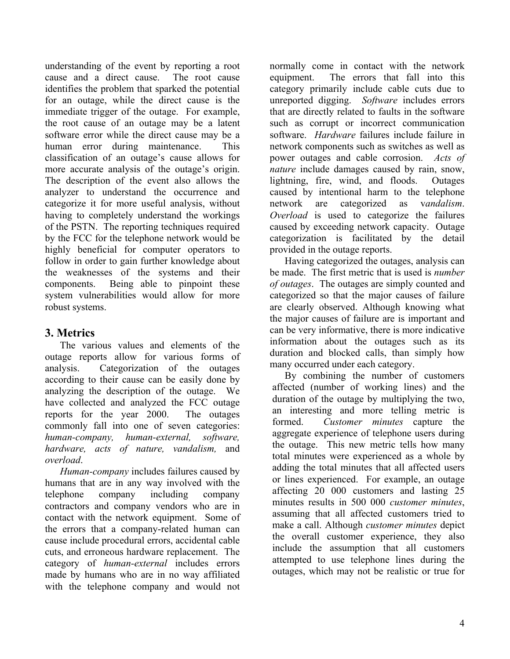understanding of the event by reporting a root cause and a direct cause. The root cause identifies the problem that sparked the potential for an outage, while the direct cause is the immediate trigger of the outage. For example, the root cause of an outage may be a latent software error while the direct cause may be a human error during maintenance. This classification of an outage's cause allows for more accurate analysis of the outage's origin. The description of the event also allows the analyzer to understand the occurrence and categorize it for more useful analysis, without having to completely understand the workings of the PSTN. The reporting techniques required by the FCC for the telephone network would be highly beneficial for computer operators to follow in order to gain further knowledge about the weaknesses of the systems and their components. Being able to pinpoint these system vulnerabilities would allow for more robust systems.

## **3. Metrics**

The various values and elements of the outage reports allow for various forms of analysis. Categorization of the outages according to their cause can be easily done by analyzing the description of the outage. We have collected and analyzed the FCC outage reports for the year 2000. The outages commonly fall into one of seven categories: *human-company, human-external, software, hardware, acts of nature, vandalism,* and *overload*.

*Human-company* includes failures caused by humans that are in any way involved with the telephone company including company contractors and company vendors who are in contact with the network equipment. Some of the errors that a company-related human can cause include procedural errors, accidental cable cuts, and erroneous hardware replacement. The category of *human-external* includes errors made by humans who are in no way affiliated with the telephone company and would not

normally come in contact with the network equipment. The errors that fall into this category primarily include cable cuts due to unreported digging. *Software* includes errors that are directly related to faults in the software such as corrupt or incorrect communication software. *Hardware* failures include failure in network components such as switches as well as power outages and cable corrosion. *Acts of nature* include damages caused by rain, snow, lightning, fire, wind, and floods. Outages caused by intentional harm to the telephone network are categorized as v*andalism*. *Overload* is used to categorize the failures caused by exceeding network capacity. Outage categorization is facilitated by the detail provided in the outage reports.

Having categorized the outages, analysis can be made. The first metric that is used is *number of outages*. The outages are simply counted and categorized so that the major causes of failure are clearly observed. Although knowing what the major causes of failure are is important and can be very informative, there is more indicative information about the outages such as its duration and blocked calls, than simply how many occurred under each category.

By combining the number of customers affected (number of working lines) and the duration of the outage by multiplying the two, an interesting and more telling metric is formed. *Customer minutes* capture the aggregate experience of telephone users during the outage. This new metric tells how many total minutes were experienced as a whole by adding the total minutes that all affected users or lines experienced. For example, an outage affecting 20 000 customers and lasting 25 minutes results in 500 000 *customer minutes*, assuming that all affected customers tried to make a call. Although *customer minutes* depict the overall customer experience, they also include the assumption that all customers attempted to use telephone lines during the outages, which may not be realistic or true for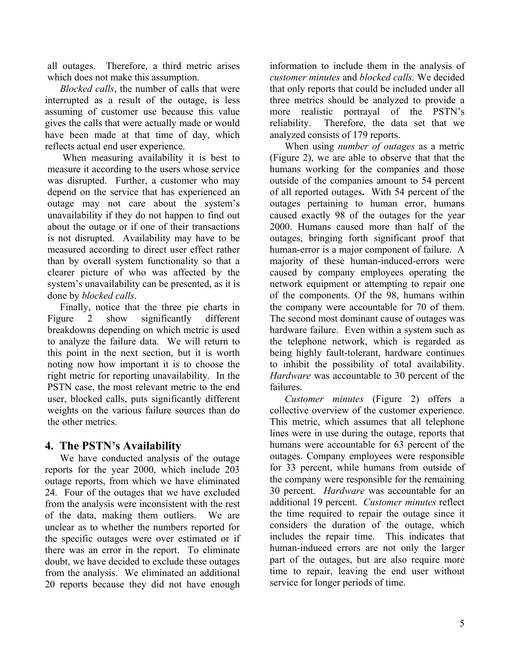all outages. Therefore, a third metric arises which does not make this assumption.

*Blocked calls*, the number of calls that were interrupted as a result of the outage, is less assuming of customer use because this value gives the calls that were actually made or would have been made at that time of day, which reflects actual end user experience.

 When measuring availability it is best to measure it according to the users whose service was disrupted. Further, a customer who may depend on the service that has experienced an outage may not care about the system's unavailability if they do not happen to find out about the outage or if one of their transactions is not disrupted. Availability may have to be measured according to direct user effect rather than by overall system functionality so that a clearer picture of who was affected by the system's unavailability can be presented, as it is done by *blocked calls*.

Finally, notice that the three pie charts in Figure 2 show significantly different breakdowns depending on which metric is used to analyze the failure data. We will return to this point in the next section, but it is worth noting now how important it is to choose the right metric for reporting unavailability. In the PSTN case, the most relevant metric to the end user, blocked calls, puts significantly different weights on the various failure sources than do the other metrics.

### **4. The PSTN's Availability**

We have conducted analysis of the outage reports for the year 2000, which include 203 outage reports, from which we have eliminated 24. Four of the outages that we have excluded from the analysis were inconsistent with the rest of the data, making them outliers. We are unclear as to whether the numbers reported for the specific outages were over estimated or if there was an error in the report. To eliminate doubt, we have decided to exclude these outages from the analysis. We eliminated an additional 20 reports because they did not have enough

information to include them in the analysis of *customer minutes* and *blocked calls.* We decided that only reports that could be included under all three metrics should be analyzed to provide a more realistic portrayal of the PSTN's reliability. Therefore, the data set that we analyzed consists of 179 reports.

When using *number of outages* as a metric (Figure 2), we are able to observe that that the humans working for the companies and those outside of the companies amount to 54 percent of all reported outages**.** With 54 percent of the outages pertaining to human error, humans caused exactly 98 of the outages for the year 2000. Humans caused more than half of the outages, bringing forth significant proof that human-error is a major component of failure. A majority of these human-induced-errors were caused by company employees operating the network equipment or attempting to repair one of the components. Of the 98, humans within the company were accountable for 70 of them. The second most dominant cause of outages was hardware failure. Even within a system such as the telephone network, which is regarded as being highly fault-tolerant, hardware continues to inhibit the possibility of total availability. *Hardware* was accountable to 30 percent of the failures.

*Customer minutes* (Figure 2) offers a collective overview of the customer experience. This metric, which assumes that all telephone lines were in use during the outage, reports that humans were accountable for 63 percent of the outages. Company employees were responsible for 33 percent, while humans from outside of the company were responsible for the remaining 30 percent. *Hardware* was accountable for an additional 19 percent. *Customer minutes* reflect the time required to repair the outage since it considers the duration of the outage, which includes the repair time. This indicates that human-induced errors are not only the larger part of the outages, but are also require more time to repair, leaving the end user without service for longer periods of time.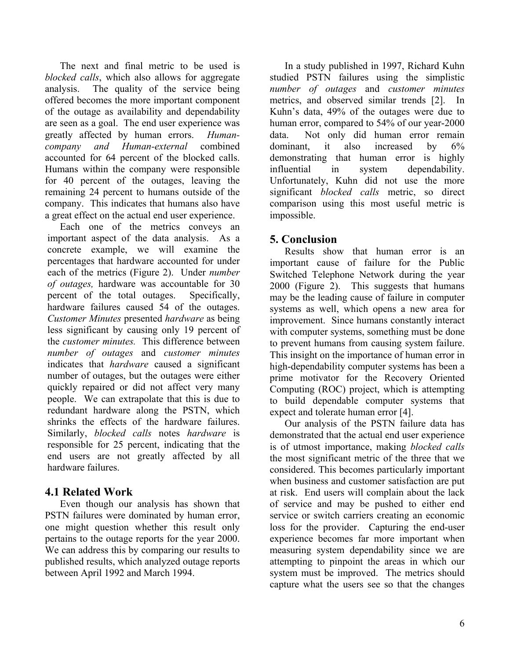The next and final metric to be used is *blocked calls*, which also allows for aggregate analysis. The quality of the service being offered becomes the more important component of the outage as availability and dependability are seen as a goal. The end user experience was greatly affected by human errors. *Humancompany and Human-external* combined accounted for 64 percent of the blocked calls. Humans within the company were responsible for 40 percent of the outages, leaving the remaining 24 percent to humans outside of the company. This indicates that humans also have a great effect on the actual end user experience.

Each one of the metrics conveys an important aspect of the data analysis. As a concrete example, we will examine the percentages that hardware accounted for under each of the metrics (Figure 2). Under *number of outages,* hardware was accountable for 30 percent of the total outages. Specifically, hardware failures caused 54 of the outages. *Customer Minutes* presented *hardware* as being less significant by causing only 19 percent of the *customer minutes.* This difference between *number of outages* and *customer minutes*  indicates that *hardware* caused a significant number of outages, but the outages were either quickly repaired or did not affect very many people. We can extrapolate that this is due to redundant hardware along the PSTN, which shrinks the effects of the hardware failures. Similarly, *blocked calls* notes *hardware* is responsible for 25 percent, indicating that the end users are not greatly affected by all hardware failures.

## **4.1 Related Work**

Even though our analysis has shown that PSTN failures were dominated by human error, one might question whether this result only pertains to the outage reports for the year 2000. We can address this by comparing our results to published results, which analyzed outage reports between April 1992 and March 1994.

In a study published in 1997, Richard Kuhn studied PSTN failures using the simplistic *number of outages* and *customer minutes*  metrics, and observed similar trends [2]. In Kuhn's data, 49% of the outages were due to human error, compared to 54% of our year-2000 data. Not only did human error remain dominant, it also increased by 6% demonstrating that human error is highly influential in system dependability. Unfortunately, Kuhn did not use the more significant *blocked calls* metric, so direct comparison using this most useful metric is impossible.

## **5. Conclusion**

Results show that human error is an important cause of failure for the Public Switched Telephone Network during the year 2000 (Figure 2). This suggests that humans may be the leading cause of failure in computer systems as well, which opens a new area for improvement. Since humans constantly interact with computer systems, something must be done to prevent humans from causing system failure. This insight on the importance of human error in high-dependability computer systems has been a prime motivator for the Recovery Oriented Computing (ROC) project, which is attempting to build dependable computer systems that expect and tolerate human error [4].

Our analysis of the PSTN failure data has demonstrated that the actual end user experience is of utmost importance, making *blocked calls* the most significant metric of the three that we considered. This becomes particularly important when business and customer satisfaction are put at risk. End users will complain about the lack of service and may be pushed to either end service or switch carriers creating an economic loss for the provider. Capturing the end-user experience becomes far more important when measuring system dependability since we are attempting to pinpoint the areas in which our system must be improved. The metrics should capture what the users see so that the changes